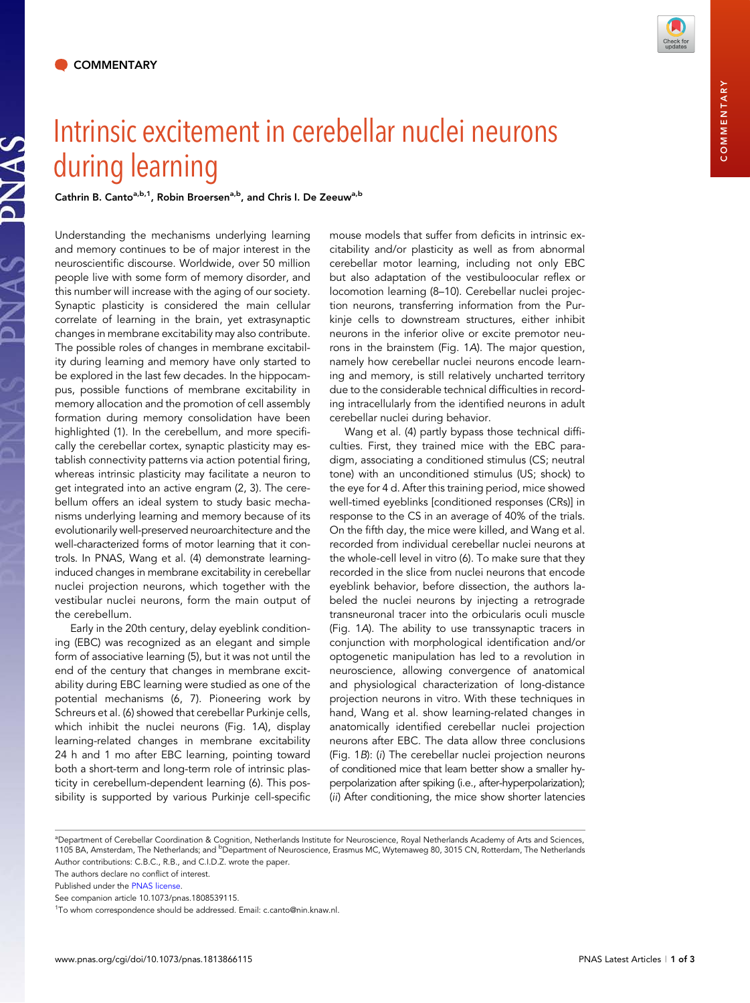

## Intrinsic excitement in cerebellar nuclei neurons during learning

Cathrin B. Canto<sup>a,b,1</sup>, Robin Broersen<sup>a,b</sup>, and Chris I. De Zeeuw<sup>a,b</sup>

Understanding the mechanisms underlying learning and memory continues to be of major interest in the neuroscientific discourse. Worldwide, over 50 million people live with some form of memory disorder, and this number will increase with the aging of our society. Synaptic plasticity is considered the main cellular correlate of learning in the brain, yet extrasynaptic changes in membrane excitability may also contribute. The possible roles of changes in membrane excitability during learning and memory have only started to be explored in the last few decades. In the hippocampus, possible functions of membrane excitability in memory allocation and the promotion of cell assembly formation during memory consolidation have been highlighted (1). In the cerebellum, and more specifically the cerebellar cortex, synaptic plasticity may establish connectivity patterns via action potential firing, whereas intrinsic plasticity may facilitate a neuron to get integrated into an active engram (2, 3). The cerebellum offers an ideal system to study basic mechanisms underlying learning and memory because of its evolutionarily well-preserved neuroarchitecture and the well-characterized forms of motor learning that it controls. In PNAS, Wang et al. (4) demonstrate learninginduced changes in membrane excitability in cerebellar nuclei projection neurons, which together with the vestibular nuclei neurons, form the main output of the cerebellum.

Early in the 20th century, delay eyeblink conditioning (EBC) was recognized as an elegant and simple form of associative learning (5), but it was not until the end of the century that changes in membrane excitability during EBC learning were studied as one of the potential mechanisms (6, 7). Pioneering work by Schreurs et al. (6) showed that cerebellar Purkinje cells, which inhibit the nuclei neurons (Fig. 1A), display learning-related changes in membrane excitability 24 h and 1 mo after EBC learning, pointing toward both a short-term and long-term role of intrinsic plasticity in cerebellum-dependent learning (6). This possibility is supported by various Purkinje cell-specific mouse models that suffer from deficits in intrinsic excitability and/or plasticity as well as from abnormal cerebellar motor learning, including not only EBC but also adaptation of the vestibuloocular reflex or locomotion learning (8–10). Cerebellar nuclei projection neurons, transferring information from the Purkinje cells to downstream structures, either inhibit neurons in the inferior olive or excite premotor neurons in the brainstem (Fig. 1A). The major question, namely how cerebellar nuclei neurons encode learning and memory, is still relatively uncharted territory due to the considerable technical difficulties in recording intracellularly from the identified neurons in adult cerebellar nuclei during behavior.

Wang et al. (4) partly bypass those technical difficulties. First, they trained mice with the EBC paradigm, associating a conditioned stimulus (CS; neutral tone) with an unconditioned stimulus (US; shock) to the eye for 4 d. After this training period, mice showed well-timed eyeblinks [conditioned responses (CRs)] in response to the CS in an average of 40% of the trials. On the fifth day, the mice were killed, and Wang et al. recorded from individual cerebellar nuclei neurons at the whole-cell level in vitro (6). To make sure that they recorded in the slice from nuclei neurons that encode eyeblink behavior, before dissection, the authors labeled the nuclei neurons by injecting a retrograde transneuronal tracer into the orbicularis oculi muscle (Fig. 1A). The ability to use transsynaptic tracers in conjunction with morphological identification and/or optogenetic manipulation has led to a revolution in neuroscience, allowing convergence of anatomical and physiological characterization of long-distance projection neurons in vitro. With these techniques in hand, Wang et al. show learning-related changes in anatomically identified cerebellar nuclei projection neurons after EBC. The data allow three conclusions (Fig. 1B): (i) The cerebellar nuclei projection neurons of conditioned mice that learn better show a smaller hyperpolarization after spiking (i.e., after-hyperpolarization); (ii) After conditioning, the mice show shorter latencies

a Department of Cerebellar Coordination & Cognition, Netherlands Institute for Neuroscience, Royal Netherlands Academy of Arts and Sciences, 1105 BA, Amsterdam, The Netherlands; and <sup>b</sup>Department of Neuroscience, Erasmus MC, Wytemaweg 80, 3015 CN, Rotterdam, The Netherlands Author contributions: C.B.C., R.B., and C.I.D.Z. wrote the paper.

The authors declare no conflict of interest.

Published under the [PNAS license.](http://www.pnas.org/site/aboutpnas/licenses.xhtml)

See companion article 10.1073/pnas.1808539115.

<sup>1</sup>To whom correspondence should be addressed. Email: [c.canto@nin.knaw.nl](mailto:c.canto@nin.knaw.nl).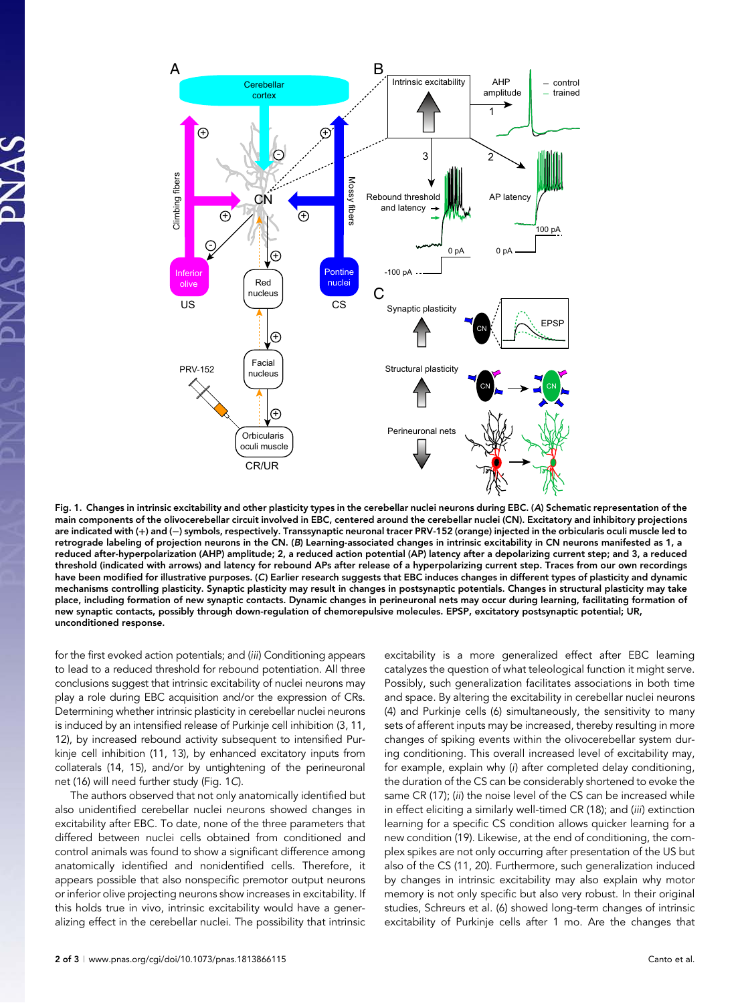

Fig. 1. Changes in intrinsic excitability and other plasticity types in the cerebellar nuclei neurons during EBC. (A) Schematic representation of the main components of the olivocerebellar circuit involved in EBC, centered around the cerebellar nuclei (CN). Excitatory and inhibitory projections are indicated with (+) and (−) symbols, respectively. Transsynaptic neuronal tracer PRV-152 (orange) injected in the orbicularis oculi muscle led to retrograde labeling of projection neurons in the CN. (B) Learning-associated changes in intrinsic excitability in CN neurons manifested as 1, a reduced after-hyperpolarization (AHP) amplitude; 2, a reduced action potential (AP) latency after a depolarizing current step; and 3, a reduced threshold (indicated with arrows) and latency for rebound APs after release of a hyperpolarizing current step. Traces from our own recordings have been modified for illustrative purposes. (C) Earlier research suggests that EBC induces changes in different types of plasticity and dynamic mechanisms controlling plasticity. Synaptic plasticity may result in changes in postsynaptic potentials. Changes in structural plasticity may take place, including formation of new synaptic contacts. Dynamic changes in perineuronal nets may occur during learning, facilitating formation of new synaptic contacts, possibly through down-regulation of chemorepulsive molecules. EPSP, excitatory postsynaptic potential; UR, unconditioned response.

for the first evoked action potentials; and (iii) Conditioning appears to lead to a reduced threshold for rebound potentiation. All three conclusions suggest that intrinsic excitability of nuclei neurons may play a role during EBC acquisition and/or the expression of CRs. Determining whether intrinsic plasticity in cerebellar nuclei neurons is induced by an intensified release of Purkinje cell inhibition (3, 11, 12), by increased rebound activity subsequent to intensified Purkinje cell inhibition (11, 13), by enhanced excitatory inputs from collaterals (14, 15), and/or by untightening of the perineuronal net (16) will need further study (Fig. 1C).

The authors observed that not only anatomically identified but also unidentified cerebellar nuclei neurons showed changes in excitability after EBC. To date, none of the three parameters that differed between nuclei cells obtained from conditioned and control animals was found to show a significant difference among anatomically identified and nonidentified cells. Therefore, it appears possible that also nonspecific premotor output neurons or inferior olive projecting neurons show increases in excitability. If this holds true in vivo, intrinsic excitability would have a generalizing effect in the cerebellar nuclei. The possibility that intrinsic excitability is a more generalized effect after EBC learning catalyzes the question of what teleological function it might serve. Possibly, such generalization facilitates associations in both time and space. By altering the excitability in cerebellar nuclei neurons (4) and Purkinje cells (6) simultaneously, the sensitivity to many sets of afferent inputs may be increased, thereby resulting in more changes of spiking events within the olivocerebellar system during conditioning. This overall increased level of excitability may, for example, explain why (i) after completed delay conditioning, the duration of the CS can be considerably shortened to evoke the same CR (17); (ii) the noise level of the CS can be increased while in effect eliciting a similarly well-timed CR (18); and (iii) extinction learning for a specific CS condition allows quicker learning for a new condition (19). Likewise, at the end of conditioning, the complex spikes are not only occurring after presentation of the US but also of the CS (11, 20). Furthermore, such generalization induced by changes in intrinsic excitability may also explain why motor memory is not only specific but also very robust. In their original studies, Schreurs et al. (6) showed long-term changes of intrinsic excitability of Purkinje cells after 1 mo. Are the changes that